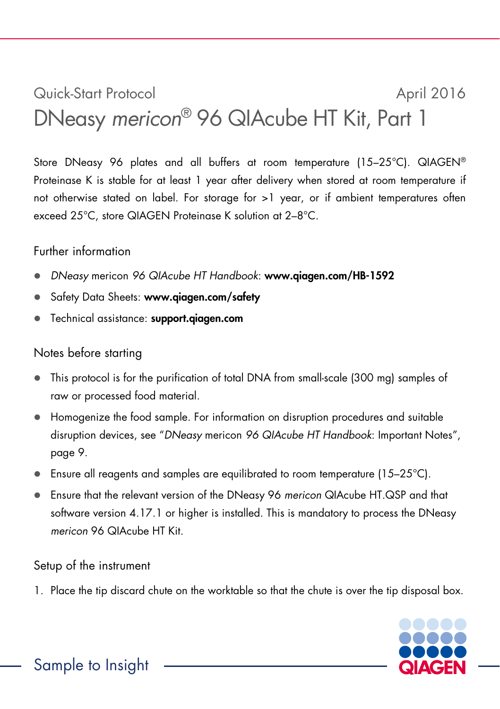## Quick-Start Protocol April 2016 DNeasy *mericon*® 96 QIAcube HT Kit, Part 1

Store DNeasy 96 plates and all buffers at room temperature (15–25°C). QIAGEN® Proteinase K is stable for at least 1 year after delivery when stored at room temperature if not otherwise stated on label. For storage for >1 year, or if ambient temperatures often exceed 25°C, store QIAGEN Proteinase K solution at 2–8°C.

## Further information

- *DNeasy* mericon *96 QIAcube HT Handbook*: www.qiagen.com/HB-1592
- Safety Data Sheets: www.qiagen.com/safety
- Technical assistance: support.qiagen.com

## Notes before starting

- This protocol is for the purification of total DNA from small-scale (300 mg) samples of raw or processed food material.
- Homogenize the food sample. For information on disruption procedures and suitable disruption devices, see "*DNeasy* mericon *96 QIAcube HT Handbook*: Important Notes", page 9.
- **E** Ensure all reagents and samples are equilibrated to room temperature (15–25 $^{\circ}$ C).
- Ensure that the relevant version of the DNeasy 96 *mericon* QIAcube HT.QSP and that software version 4.17.1 or higher is installed. This is mandatory to process the DNeasy *mericon* 96 QIAcube HT Kit.

## Setup of the instrument

1. Place the tip discard chute on the worktable so that the chute is over the tip disposal box.